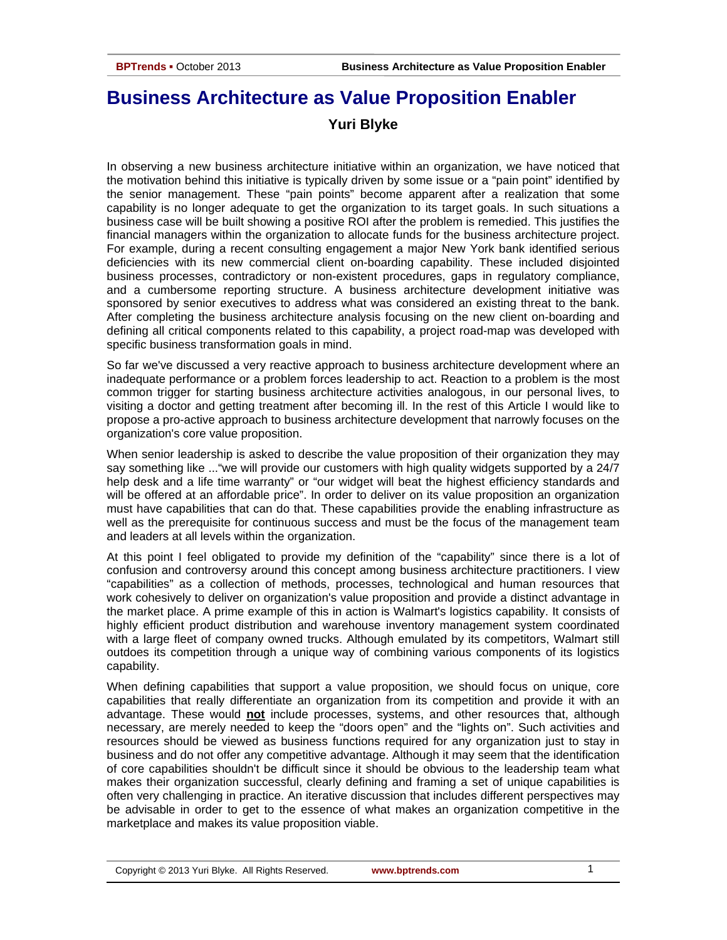# **Business Architecture as Value Proposition Enabler Yuri Blyke**

In observing a new business architecture initiative within an organization, we have noticed that the motivation behind this initiative is typically driven by some issue or a "pain point" identified by the senior management. These "pain points" become apparent after a realization that some capability is no longer adequate to get the organization to its target goals. In such situations a business case will be built showing a positive ROI after the problem is remedied. This justifies the financial managers within the organization to allocate funds for the business architecture project. For example, during a recent consulting engagement a major New York bank identified serious deficiencies with its new commercial client on-boarding capability. These included disjointed business processes, contradictory or non-existent procedures, gaps in regulatory compliance, and a cumbersome reporting structure. A business architecture development initiative was sponsored by senior executives to address what was considered an existing threat to the bank. After completing the business architecture analysis focusing on the new client on-boarding and defining all critical components related to this capability, a project road-map was developed with specific business transformation goals in mind.

So far we've discussed a very reactive approach to business architecture development where an inadequate performance or a problem forces leadership to act. Reaction to a problem is the most common trigger for starting business architecture activities analogous, in our personal lives, to visiting a doctor and getting treatment after becoming ill. In the rest of this Article I would like to propose a pro-active approach to business architecture development that narrowly focuses on the organization's core value proposition.

When senior leadership is asked to describe the value proposition of their organization they may say something like ..."we will provide our customers with high quality widgets supported by a 24/7 help desk and a life time warranty" or "our widget will beat the highest efficiency standards and will be offered at an affordable price". In order to deliver on its value proposition an organization must have capabilities that can do that. These capabilities provide the enabling infrastructure as well as the prerequisite for continuous success and must be the focus of the management team and leaders at all levels within the organization.

At this point I feel obligated to provide my definition of the "capability" since there is a lot of confusion and controversy around this concept among business architecture practitioners. I view "capabilities" as a collection of methods, processes, technological and human resources that work cohesively to deliver on organization's value proposition and provide a distinct advantage in the market place. A prime example of this in action is Walmart's logistics capability. It consists of highly efficient product distribution and warehouse inventory management system coordinated with a large fleet of company owned trucks. Although emulated by its competitors, Walmart still outdoes its competition through a unique way of combining various components of its logistics capability.

When defining capabilities that support a value proposition, we should focus on unique, core capabilities that really differentiate an organization from its competition and provide it with an advantage. These would **not** include processes, systems, and other resources that, although necessary, are merely needed to keep the "doors open" and the "lights on". Such activities and resources should be viewed as business functions required for any organization just to stay in business and do not offer any competitive advantage. Although it may seem that the identification of core capabilities shouldn't be difficult since it should be obvious to the leadership team what makes their organization successful, clearly defining and framing a set of unique capabilities is often very challenging in practice. An iterative discussion that includes different perspectives may be advisable in order to get to the essence of what makes an organization competitive in the marketplace and makes its value proposition viable.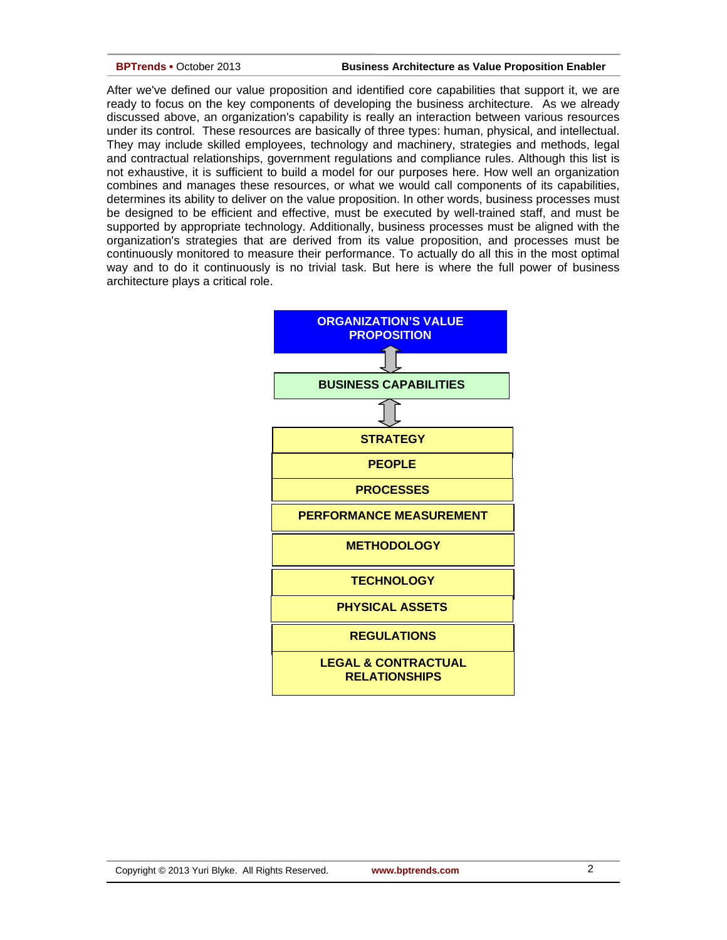### **BPTrends ▪** October 2013 **Business Architecture as Value Proposition Enabler**

After we've defined our value proposition and identified core capabilities that support it, we are ready to focus on the key components of developing the business architecture. As we already discussed above, an organization's capability is really an interaction between various resources under its control. These resources are basically of three types: human, physical, and intellectual. They may include skilled employees, technology and machinery, strategies and methods, legal and contractual relationships, government regulations and compliance rules. Although this list is not exhaustive, it is sufficient to build a model for our purposes here. How well an organization combines and manages these resources, or what we would call components of its capabilities, determines its ability to deliver on the value proposition. In other words, business processes must be designed to be efficient and effective, must be executed by well-trained staff, and must be supported by appropriate technology. Additionally, business processes must be aligned with the organization's strategies that are derived from its value proposition, and processes must be continuously monitored to measure their performance. To actually do all this in the most optimal way and to do it continuously is no trivial task. But here is where the full power of business architecture plays a critical role.

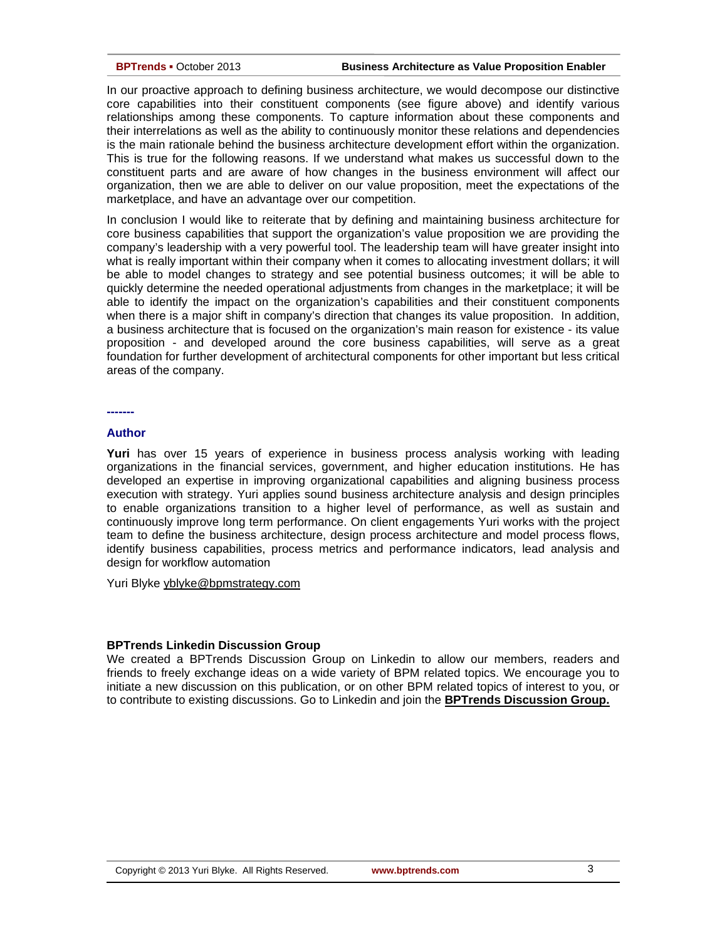### **BPTrends ▪** October 2013 **Business Architecture as Value Proposition Enabler**

In our proactive approach to defining business architecture, we would decompose our distinctive core capabilities into their constituent components (see figure above) and identify various relationships among these components. To capture information about these components and their interrelations as well as the ability to continuously monitor these relations and dependencies is the main rationale behind the business architecture development effort within the organization. This is true for the following reasons. If we understand what makes us successful down to the constituent parts and are aware of how changes in the business environment will affect our organization, then we are able to deliver on our value proposition, meet the expectations of the marketplace, and have an advantage over our competition.

In conclusion I would like to reiterate that by defining and maintaining business architecture for core business capabilities that support the organization's value proposition we are providing the company's leadership with a very powerful tool. The leadership team will have greater insight into what is really important within their company when it comes to allocating investment dollars; it will be able to model changes to strategy and see potential business outcomes; it will be able to quickly determine the needed operational adjustments from changes in the marketplace; it will be able to identify the impact on the organization's capabilities and their constituent components when there is a major shift in company's direction that changes its value proposition. In addition, a business architecture that is focused on the organization's main reason for existence - its value proposition - and developed around the core business capabilities, will serve as a great foundation for further development of architectural components for other important but less critical areas of the company.

# **-------**

# **Author**

**Yuri** has over 15 years of experience in business process analysis working with leading organizations in the financial services, government, and higher education institutions. He has developed an expertise in improving organizational capabilities and aligning business process execution with strategy. Yuri applies sound business architecture analysis and design principles to enable organizations transition to a higher level of performance, as well as sustain and continuously improve long term performance. On client engagements Yuri works with the project team to define the business architecture, design process architecture and model process flows, identify business capabilities, process metrics and performance indicators, lead analysis and design for workflow automation

Yuri Blyke [yblyke@bpmstrategy.com](mailto:yblyke@bpmstrategy.com)

## **BPTrends Linkedin Discussion Group**

We created a BPTrends Discussion Group on Linkedin to allow our members, readers and friends to freely exchange ideas on a wide variety of BPM related topics. We encourage you to initiate a new discussion on this publication, or on other BPM related topics of interest to you, or to contribute to existing discussions. Go to Linkedin and join the **[BPTrends Discussion Group.](http://www.linkedin.com/companies/bptrends)**